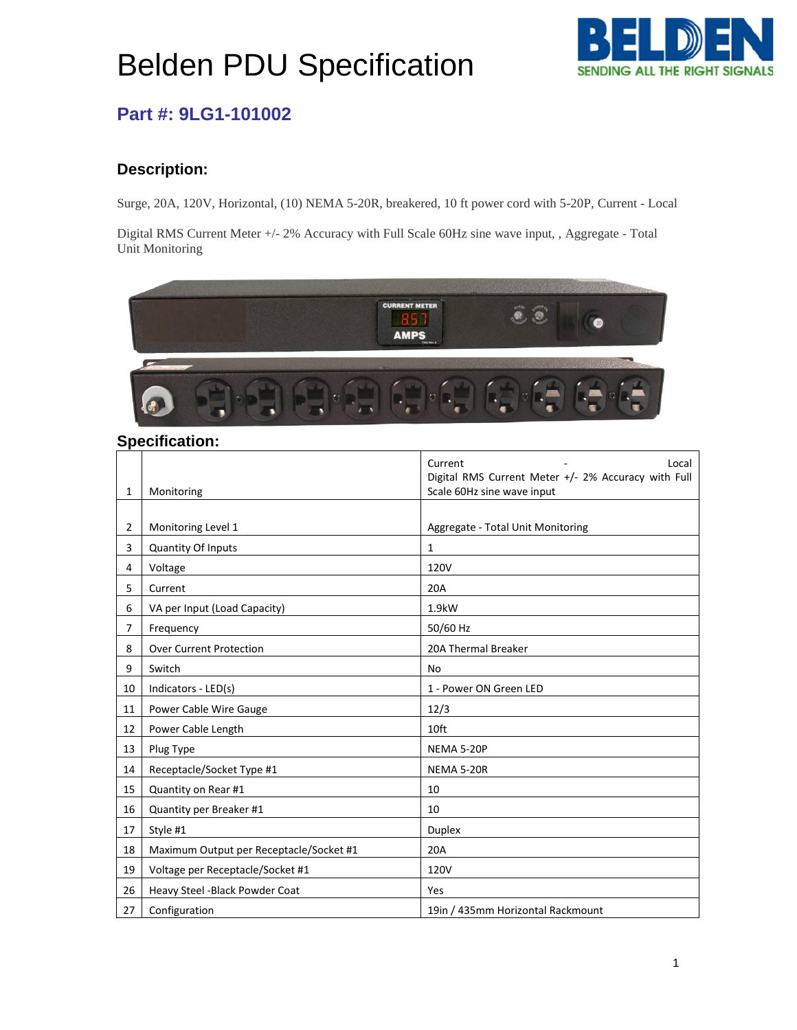# Belden PDU Specification



## **Part #: 9LG1-101002**

### **Description:**

Surge, 20A, 120V, Horizontal, (10) NEMA 5-20R, breakered, 10 ft power cord with 5-20P, Current - Local

Digital RMS Current Meter +/- 2% Accuracy with Full Scale 60Hz sine wave input, , Aggregate - Total Unit Monitoring



#### **Specification:**

|    |                                         | Current<br>Local                                                                  |
|----|-----------------------------------------|-----------------------------------------------------------------------------------|
| 1  | Monitoring                              | Digital RMS Current Meter +/- 2% Accuracy with Full<br>Scale 60Hz sine wave input |
|    |                                         |                                                                                   |
| 2  | Monitoring Level 1                      | Aggregate - Total Unit Monitoring                                                 |
| 3  | Quantity Of Inputs                      | $\mathbf{1}$                                                                      |
| 4  | Voltage                                 | 120V                                                                              |
| 5  | Current                                 | 20A                                                                               |
| 6  | VA per Input (Load Capacity)            | 1.9kW                                                                             |
| 7  | Frequency                               | 50/60 Hz                                                                          |
| 8  | <b>Over Current Protection</b>          | 20A Thermal Breaker                                                               |
| 9  | Switch                                  | <b>No</b>                                                                         |
| 10 | Indicators - LED(s)                     | 1 - Power ON Green LED                                                            |
| 11 | Power Cable Wire Gauge                  | 12/3                                                                              |
| 12 | Power Cable Length                      | 10ft                                                                              |
| 13 | Plug Type                               | NEMA 5-20P                                                                        |
| 14 | Receptacle/Socket Type #1               | <b>NEMA 5-20R</b>                                                                 |
| 15 | Quantity on Rear #1                     | 10                                                                                |
| 16 | Quantity per Breaker #1                 | 10                                                                                |
| 17 | Style #1                                | <b>Duplex</b>                                                                     |
| 18 | Maximum Output per Receptacle/Socket #1 | 20A                                                                               |
| 19 | Voltage per Receptacle/Socket #1        | 120V                                                                              |
| 26 | Heavy Steel - Black Powder Coat         | Yes                                                                               |
| 27 | Configuration                           | 19in / 435mm Horizontal Rackmount                                                 |